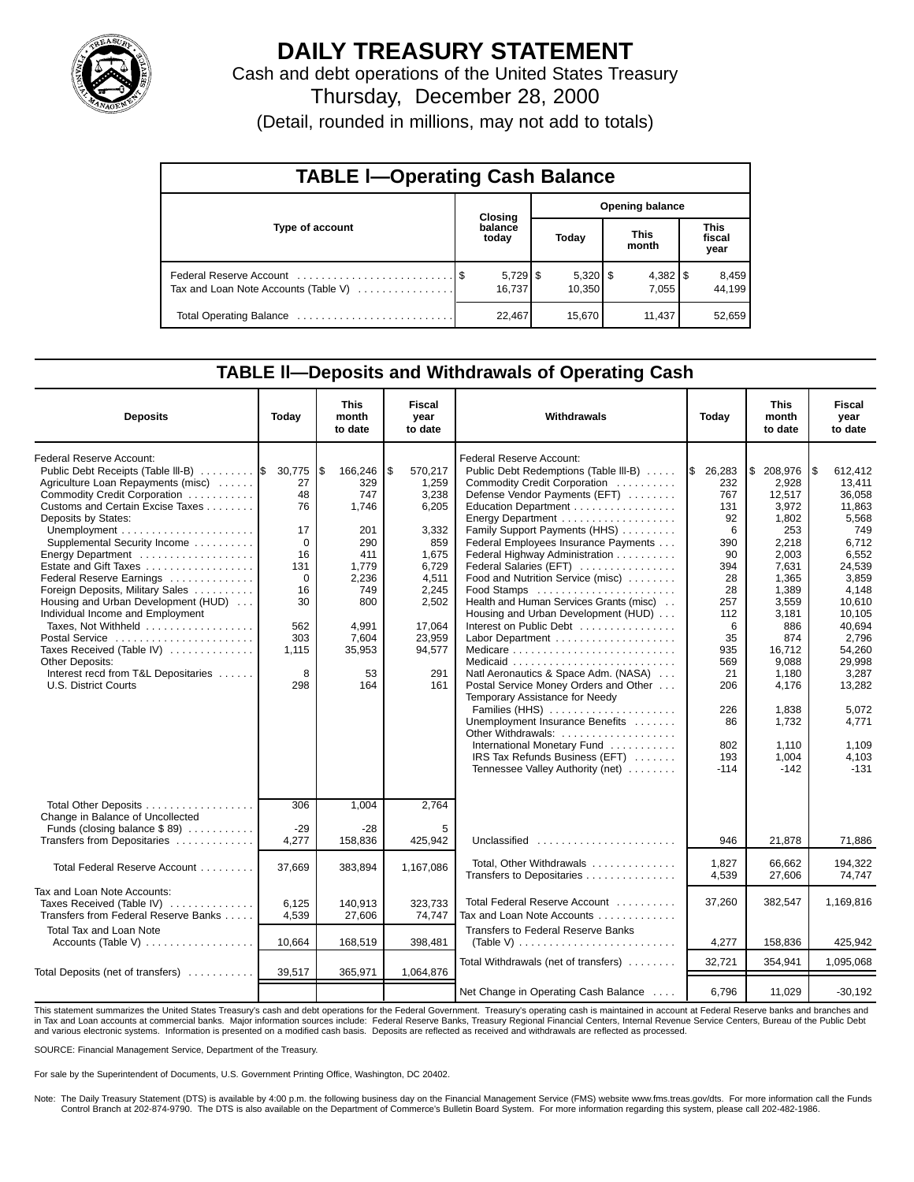

# **DAILY TREASURY STATEMENT**

Cash and debt operations of the United States Treasury Thursday, December 28, 2000

(Detail, rounded in millions, may not add to totals)

| <b>TABLE I-Operating Cash Balance</b> |  |                  |                        |        |  |                       |  |                               |  |
|---------------------------------------|--|------------------|------------------------|--------|--|-----------------------|--|-------------------------------|--|
|                                       |  | <b>Closing</b>   | <b>Opening balance</b> |        |  |                       |  |                               |  |
| Type of account                       |  | balance<br>today |                        | Today  |  | <b>This</b><br>month  |  | <b>This</b><br>fiscal<br>year |  |
| Tax and Loan Note Accounts (Table V)  |  | 16.737           |                        | 10.350 |  | $4,382$   \$<br>7.055 |  | 8,459<br>44.199               |  |
| Total Operating Balance               |  | 22,467           |                        | 15,670 |  | 11,437                |  | 52,659                        |  |

### **TABLE ll—Deposits and Withdrawals of Operating Cash**

| <b>Deposits</b>                                                   | Today    | This<br>month<br>to date | <b>Fiscal</b><br>year<br>to date | Withdrawals                                                         | Today         | <b>This</b><br>month<br>to date | Fiscal<br>year<br>to date |
|-------------------------------------------------------------------|----------|--------------------------|----------------------------------|---------------------------------------------------------------------|---------------|---------------------------------|---------------------------|
| Federal Reserve Account:<br>Public Debt Receipts (Table III-B)  S | 30,775   | \$<br>166,246            | \$<br>570,217                    | Federal Reserve Account:<br>Public Debt Redemptions (Table III-B)   | l\$<br>26,283 | \$<br>208,976                   | l\$<br>612,412            |
| Agriculture Loan Repayments (misc)                                | 27       | 329                      | 1,259                            | Commodity Credit Corporation                                        | 232           | 2.928                           | 13,411                    |
| Commodity Credit Corporation                                      | 48       | 747                      | 3,238                            | Defense Vendor Payments (EFT)                                       | 767           | 12,517                          | 36,058                    |
| Customs and Certain Excise Taxes                                  | 76       | 1.746                    | 6,205                            | Education Department                                                | 131           | 3.972                           | 11.863                    |
| Deposits by States:                                               |          |                          |                                  |                                                                     | 92            | 1.802                           | 5,568                     |
|                                                                   | 17       | 201                      | 3,332                            | Family Support Payments (HHS)                                       | 6             | 253                             | 749                       |
| Supplemental Security Income                                      | $\Omega$ | 290                      | 859                              | Federal Employees Insurance Payments                                | 390           | 2,218                           | 6,712                     |
| Energy Department                                                 | 16       | 411                      | 1,675                            | Federal Highway Administration                                      | 90            | 2,003                           | 6,552                     |
| Estate and Gift Taxes                                             | 131      | 1,779                    | 6,729                            | Federal Salaries (EFT)                                              | 394           | 7.631                           | 24,539                    |
| Federal Reserve Earnings                                          | $\Omega$ | 2,236                    | 4,511                            | Food and Nutrition Service (misc)                                   | 28            | 1,365                           | 3.859                     |
| Foreign Deposits, Military Sales                                  | 16       | 749                      | 2,245                            | Food Stamps                                                         | 28            | 1,389                           | 4.148                     |
| Housing and Urban Development (HUD)                               | 30       | 800                      | 2,502                            | Health and Human Services Grants (misc)                             | 257           | 3,559                           | 10.610                    |
| Individual Income and Employment                                  |          |                          |                                  | Housing and Urban Development (HUD)                                 | 112           | 3.181                           | 10.105                    |
| Taxes, Not Withheld                                               | 562      | 4,991                    | 17,064                           | Interest on Public Debt                                             | 6             | 886                             | 40.694                    |
| Postal Service                                                    | 303      | 7,604                    | 23,959                           |                                                                     | 35            | 874                             | 2,796                     |
| Taxes Received (Table IV)                                         | 1,115    | 35.953                   | 94.577                           | Medicare $\ldots \ldots \ldots \ldots \ldots \ldots \ldots \ldots$  | 935           | 16.712                          | 54.260                    |
| <b>Other Deposits:</b>                                            |          |                          |                                  |                                                                     | 569           | 9,088                           | 29,998                    |
| Interest recd from T&L Depositaries                               | 8        | 53                       | 291                              | Natl Aeronautics & Space Adm. (NASA)                                | 21            | 1,180                           | 3,287                     |
| U.S. District Courts                                              | 298      | 164                      | 161                              | Postal Service Money Orders and Other                               | 206           | 4,176                           | 13,282                    |
|                                                                   |          |                          |                                  | Temporary Assistance for Needy                                      |               |                                 |                           |
|                                                                   |          |                          |                                  | Families (HHS)                                                      | 226           | 1,838                           | 5,072                     |
|                                                                   |          |                          |                                  | Unemployment Insurance Benefits                                     | 86            | 1,732                           | 4,771                     |
|                                                                   |          |                          |                                  | Other Withdrawals:                                                  |               |                                 |                           |
|                                                                   |          |                          |                                  | International Monetary Fund                                         | 802           | 1,110                           | 1,109                     |
|                                                                   |          |                          |                                  | IRS Tax Refunds Business (EFT)                                      | 193           | 1,004                           | 4,103                     |
|                                                                   |          |                          |                                  | Tennessee Valley Authority (net)                                    | $-114$        | $-142$                          | $-131$                    |
| Total Other Deposits                                              | 306      | 1,004                    | 2,764                            |                                                                     |               |                                 |                           |
| Change in Balance of Uncollected                                  |          |                          |                                  |                                                                     |               |                                 |                           |
| Funds (closing balance $$89$ )                                    | $-29$    | $-28$                    | 5                                |                                                                     |               |                                 |                           |
| Transfers from Depositaries                                       | 4,277    | 158,836                  | 425.942                          | Unclassified                                                        | 946           | 21,878                          | 71,886                    |
| Total Federal Reserve Account                                     | 37,669   | 383,894                  | 1,167,086                        | Total, Other Withdrawals                                            | 1.827         | 66.662                          | 194.322                   |
|                                                                   |          |                          |                                  | Transfers to Depositaries                                           | 4,539         | 27,606                          | 74,747                    |
| Tax and Loan Note Accounts:                                       |          |                          |                                  |                                                                     |               |                                 |                           |
| Taxes Received (Table IV)                                         | 6,125    | 140,913                  | 323,733                          | Total Federal Reserve Account                                       | 37,260        | 382,547                         | 1,169,816                 |
| Transfers from Federal Reserve Banks                              | 4,539    | 27,606                   | 74,747                           | Tax and Loan Note Accounts                                          |               |                                 |                           |
| <b>Total Tax and Loan Note</b>                                    |          |                          |                                  | <b>Transfers to Federal Reserve Banks</b>                           |               |                                 |                           |
| Accounts (Table V)                                                | 10,664   | 168,519                  | 398,481                          | (Table V) $\ldots \ldots \ldots \ldots \ldots \ldots \ldots \ldots$ | 4,277         | 158,836                         | 425,942                   |
|                                                                   |          |                          |                                  |                                                                     |               |                                 |                           |
|                                                                   |          |                          |                                  | Total Withdrawals (net of transfers)                                | 32.721        | 354,941                         | 1,095,068                 |
| Total Deposits (net of transfers)                                 | 39,517   | 365,971                  | 1,064,876                        |                                                                     |               |                                 |                           |
|                                                                   |          |                          |                                  | Net Change in Operating Cash Balance                                | 6.796         | 11,029                          | $-30,192$                 |

This statement summarizes the United States Treasury's cash and debt operations for the Federal Government. Treasury's operating cash is maintained in account at Federal Reserve banks and branches and<br>in Tax and Loan accou and various electronic systems. Information is presented on a modified cash basis. Deposits are reflected as received and withdrawals are reflected as processed.

SOURCE: Financial Management Service, Department of the Treasury.

For sale by the Superintendent of Documents, U.S. Government Printing Office, Washington, DC 20402.

Note: The Daily Treasury Statement (DTS) is available by 4:00 p.m. the following business day on the Financial Management Service (FMS) website www.fms.treas.gov/dts. For more information call the Funds Control Branch at 202-874-9790. The DTS is also available on the Department of Commerce's Bulletin Board System. For more information regarding this system, please call 202-482-1986.